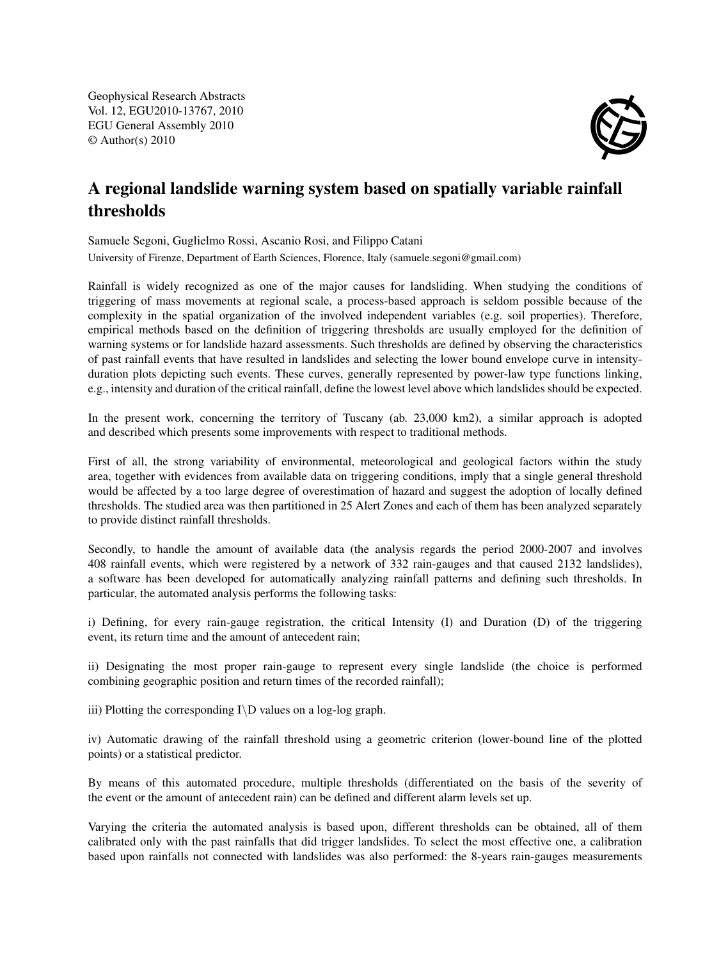Geophysical Research Abstracts Vol. 12, EGU2010-13767, 2010 EGU General Assembly 2010 © Author(s) 2010



## A regional landslide warning system based on spatially variable rainfall thresholds

Samuele Segoni, Guglielmo Rossi, Ascanio Rosi, and Filippo Catani University of Firenze, Department of Earth Sciences, Florence, Italy (samuele.segoni@gmail.com)

Rainfall is widely recognized as one of the major causes for landsliding. When studying the conditions of triggering of mass movements at regional scale, a process-based approach is seldom possible because of the complexity in the spatial organization of the involved independent variables (e.g. soil properties). Therefore, empirical methods based on the definition of triggering thresholds are usually employed for the definition of warning systems or for landslide hazard assessments. Such thresholds are defined by observing the characteristics of past rainfall events that have resulted in landslides and selecting the lower bound envelope curve in intensityduration plots depicting such events. These curves, generally represented by power-law type functions linking, e.g., intensity and duration of the critical rainfall, define the lowest level above which landslides should be expected.

In the present work, concerning the territory of Tuscany (ab. 23,000 km2), a similar approach is adopted and described which presents some improvements with respect to traditional methods.

First of all, the strong variability of environmental, meteorological and geological factors within the study area, together with evidences from available data on triggering conditions, imply that a single general threshold would be affected by a too large degree of overestimation of hazard and suggest the adoption of locally defined thresholds. The studied area was then partitioned in 25 Alert Zones and each of them has been analyzed separately to provide distinct rainfall thresholds.

Secondly, to handle the amount of available data (the analysis regards the period 2000-2007 and involves 408 rainfall events, which were registered by a network of 332 rain-gauges and that caused 2132 landslides), a software has been developed for automatically analyzing rainfall patterns and defining such thresholds. In particular, the automated analysis performs the following tasks:

i) Defining, for every rain-gauge registration, the critical Intensity (I) and Duration (D) of the triggering event, its return time and the amount of antecedent rain;

ii) Designating the most proper rain-gauge to represent every single landslide (the choice is performed combining geographic position and return times of the recorded rainfall);

iii) Plotting the corresponding  $I\ D$  values on a log-log graph.

iv) Automatic drawing of the rainfall threshold using a geometric criterion (lower-bound line of the plotted points) or a statistical predictor.

By means of this automated procedure, multiple thresholds (differentiated on the basis of the severity of the event or the amount of antecedent rain) can be defined and different alarm levels set up.

Varying the criteria the automated analysis is based upon, different thresholds can be obtained, all of them calibrated only with the past rainfalls that did trigger landslides. To select the most effective one, a calibration based upon rainfalls not connected with landslides was also performed: the 8-years rain-gauges measurements